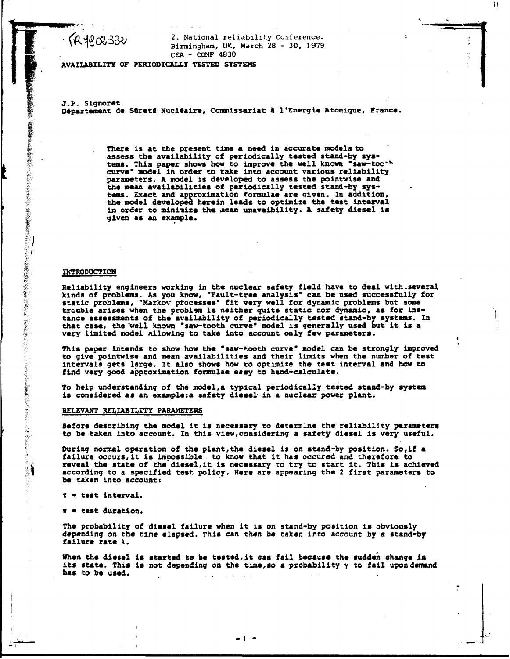**•** *{id ^kSlcO -^'OJ* **^\***

 **Na \*-i° n a l reliabilit y Conference . \Ï^^LK/3D V Birmingham, UK, March 28 - 30 , 1979 CEA - CONF 4830** 

 $\mathbf{H}$ 

**AVAILABILITY OP PERIODICALLY TESTED SYSTEMS** 

**J.t. Signoret**  Département de Sûreté Nucléaire, Commissariat à l'Energie Atomique, France.

> **There is at the present time a need in accurate models to assess the availability of periodically tested stand-by systems. This paper shows how to improve the well known "saw-toe"\*\* curve" model in order to take into account various reliability parameters. A model is developed to assess the pointwise and the mean availabilities of periodically tested stand-by systems. Exact and approximation formulae are given. In addition, the model developed herein leads to optimize the test interval in order to minimize the mean unavaibillty. A safety diesel is given as an example.**

#### **IKTR0D0CTI0H**

「機能の機能を経験の場所で、その他にもあるので、その場所の場所ではないことができるのでは、その他の場所であるので、その他には、その他には、その他の場所には、その他には、その他には、その他には、その他に

**Reliability engineers working in the nuclear safety field have to deal with,several kinds of problems. As you know, "Fault-tree analysis" can be used successfully for static problems, "Markov processes" fit very well for dynamic problems but some trouble arises when the problem is neither quite static nor dynamic, as for instance assessments of the availability of periodically tested stand-by systems. In that case, the 'well known "saw-tooth curve" model is generally used but it is a very limited model allowing to take into account only few parameters.** 

This paper intends to show how the "saw-tooth curve" model can be strongly improved **to give"pointwise and mean availabilities and their limits when the number of test intervals gets large. It also shows how ro optimize the test interval and how to find very good approximation formulae easy to hand-calculate.** 

**To help understanding of the model,a typical periodically tested stand-by system is considered as an example:a safety diesel in a nuclear power plant.** 

## **RELEVANT RELIABILITY PARAMETERS**

**Before describing the model it is necessary to determine the reliability parameters to be taken into account. In this view,considering a safety diesel is very useful.** 

**During normal operation of the plant,the diesel is on stand-by position. So,if a failure occurs,it is impossible, to know that it has occured and therefore to reveal the state of the diesel,it is necessary to try to start it. This is achieved according to a specified test policy. Here are appearing the 2 first parameters to be taken into account:** 

**T • test Interval.** 

**it • test duration.** 

**The probability of diesel failure when it is on stand-by position is obviously depending on the time elapsed. This can then be taken into account by a stand-by failure rate X.** 

**When the diesel is started to be tested,it can fail because the sudden change in its state. This is not depending on the time,so a probability y to fail upon demand has to be used.** 

**I -**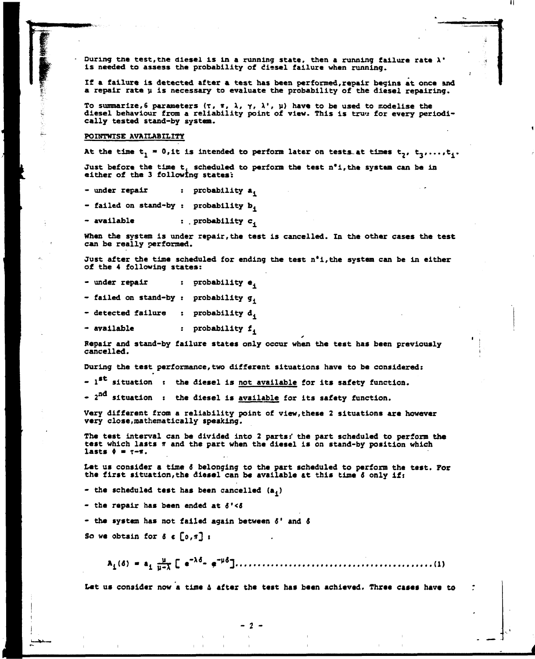During the test, the diesel is in a running state, then a running failure rate  $\lambda^*$ **is needed to assess the probability of diesel failure when running.** 

**If a failure is detected after a test has been performed,repair begins at once and a repair rate u is necessary to evaluate the probability of the diesel repairing.** 

To summarize,6 parameters (T, T,  $\lambda$ ,  $\gamma$ ,  $\lambda'$ ,  $\mu$ ) have to be used to modelise the diesel behaviour from a reliability point of view. This is tru**e for every periodically tested stand-by system.** 

## **POINTWTSE AVAILABILITY**

At the time  $t_1 = 0$ , it is intended to perform later on tests at times  $t_2$ ,  $t_3$ ,..., $t_4$ .

Just before the time t, scheduled to perform the test n<sup>o</sup>i, the system can be in **either of the 3 following states':** 

**- under repair : probability a.** 

**- failed on stand-by : probability b.** 

**- available : . probability c.** 

When the system is under repair, the test is cancelled. In the other cases the test **can be really performed.** 

**Just after the time scheduled for ending the test n\*i,the system can be in either of the 4 following states:** 

**- under repair : probability e,** 

**- failed on stand-by : probability g.** 

**- detected failure : probability d.** 

**- available : probability f.** 

**Repair and stand-by failure states only occur when the test has been previously cancelled.** *•* 

 $\cdot$ 

**During the test performance,two different situations have to be considered:** 

- 1<sup>st</sup> situation : the diesel is <u>not available</u> for its safety function.

**- 2 <sup>a</sup> situation : the diesel is available for its safety function.** 

**Very different from a reliability point of view,these 2 situations are however very close,mathematically speaking.** 

**The test interval can be divided into 2 parts:' the part scheduled to perform the test which lasts ir and the part when the diesel is on stand-by position which**   $\texttt{lasts} \; \theta = \tau - \pi.$ 

**Let us consider a time** *6* **belonging to the part scheduled to perform the test. For the first situation,the diesel can be available at this time 6 only if:** 

**- the scheduled test has been cancelled (a^)** 

**- the repair has been ended at** *&'<&* 

**- the system has not failed again between** *&'* **and** *6* 

So we obtain for  $\delta \in [0,\pi]$  :

 $A_i(6) = A_i \frac{u}{u-1} \left[ e^{-\lambda_0^2} e^{-\mu_0^2} \right] \ldots$ 

**Let us consider now a time & after the test has been achieved. Three cases have to** 

**2 -**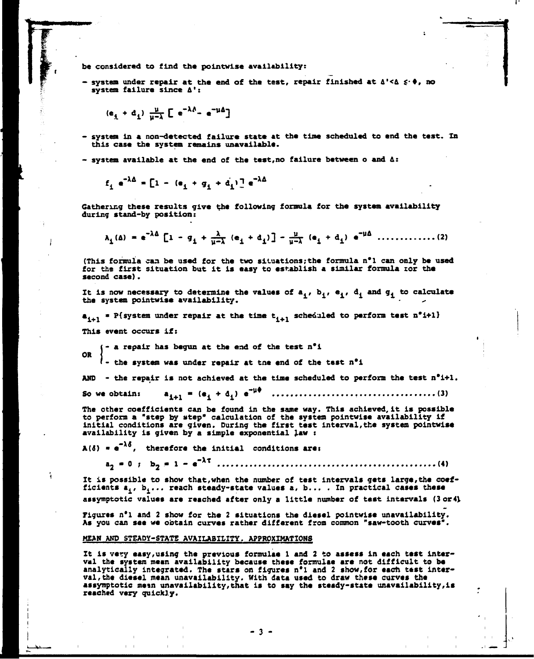**be considered to find the pointwise availability:** 

**- system under repair at the end of the test, repair finished at &'<& \$-\*, no system failure since A':** 

$$
(e_i + d_i) \frac{\mu}{\mu - \lambda} \left[ e^{-\lambda \lambda} - e^{-\mu \Delta} \right]
$$

- **system in a non-detected failure state at the time scheduled to end the test. In this case the system remains unavailable.**
- **system available at the end of the test,no failure between o and a:**

$$
f_{\mathbf{i}} e^{-\lambda \Delta} = \left[1 - (e_{\mathbf{i}} + g_{\mathbf{i}} + d_{\mathbf{i}})\right] e^{-\lambda \Delta}
$$

**Gathering these results give the following formula for the system availability during stand-by position:** 

$$
\lambda_{1}(\Delta) = e^{-\lambda \Delta} \left[ 1 - g_{1} + \frac{\lambda}{\mu - \lambda} (e_{1} + d_{1}) \right] - \frac{\mu}{\mu - \lambda} (e_{1} + d_{1}) e^{-\mu \Delta} \dots \dots \dots \dots \dots \dots \tag{2}
$$

**(This formula can be used for the two situations ; the formula n\*l can only be used for the first situation but it is easy to establish a similar formula cor the second case).** 

It is now necessary to determine the values of  $a_1$ ,  $b_1$ ,  $e_1$ ,  $d_1$  and  $q_1$  to calculate **the system pointwise availability. -**

**a,+. • P{system under repair at the time t,+, scheduled to perform test n'i+ll This event occurs if:** 

**- a repair has begun at the end of the test n\*l OR** 

**f - the system was under repair at tne end of the test n\*i** 

AND - the repair is not achieved at the time scheduled to perform the test  $n^{\circ}i+1$ .

So we obtain:  $a_{i+1} = (e_i + d_i) e^{-i}$ *\** **. (3)** 

**The other coefficients can be found in the same way. This achieved, it is possible to perform a "step by step" calculation of the system pointwise availability if initial conditions are given. During the first test interval,the system pointwise availability is given by a simple exponential law :** 

 $A(\delta) = e^{-\lambda \delta}$ , therefore the initial conditions are:

**a2 • 0 ; b <sup>2</sup> - 1 - e" <sup>X</sup> <sup>r</sup> (4)** 

It is possible to show that, when the number of test intervals gets large, the coefficients  $a^i_1$ ,  $b^i_2$ ... reach steady-state values  $a$ ,  $b...$  . In practical cases these assymptotic values are reached after only a little number of test intervals (3 or4)

**Figures n\*l and 2 show for the 2 situations the diesel pointwise unavailability. As you can see we obtain curves rather different from common "saw-tooth curves".** 

#### **MEAN AND STEADY-STATS AVAILABILITY. APPROXIMATIONS**

**It is very easy,using the previous formulae 1 and 2 to assess in each test interval the system mean availability because these formulae are not difficult to be analytically Integrated. The stars on figures n\*l and 2 show,for each test interval, the diesel mean unavailability. With data used to draw these curves the assymptotic mem unavailability, that is to say the steady-state unavailability,is reached very quickly.** 

 $-3 -$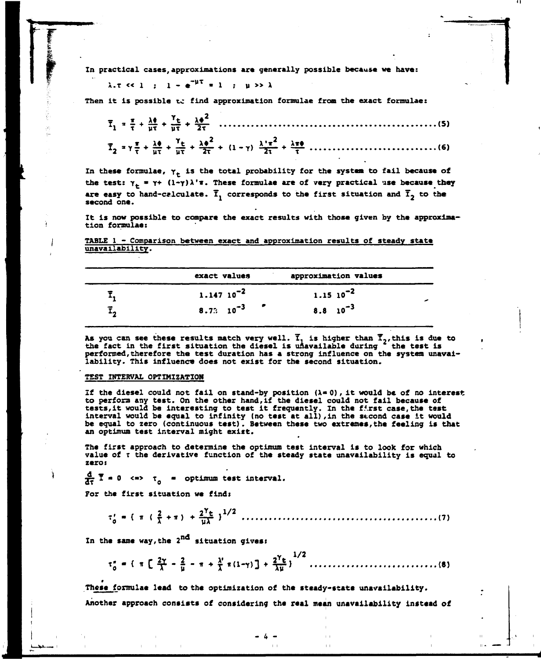**In practical cases, approximations are generally possible because we have:** 

# $\lambda.7 \leq 1$  :  $1 - e^{-\mu T} = 1$  :  $\mu >> \lambda$

**Then it is possible to find approximation formulae from the exact formulae:** 

| $\overline{T}_2 = \gamma \frac{\pi}{\tau} + \frac{\lambda \phi}{\mu \tau} + \frac{\gamma_{\text{t}}}{\mu \tau} + \frac{\lambda \phi^2}{2 \tau} + (1 - \gamma) \frac{\lambda^{\prime} \pi^2}{2 \tau} + \frac{\lambda \pi \phi}{\tau} \dots \dots \dots \dots \dots \dots \dots \dots \dots \dots \tag{6}$ |  |
|----------------------------------------------------------------------------------------------------------------------------------------------------------------------------------------------------------------------------------------------------------------------------------------------------------|--|

In these formulae,  $\gamma_+$  is the total probability for the system to fail because of the test:  $\gamma_+ = \gamma + (1-\gamma)\lambda'$ **T**. These formulae are of very practical use because they are easy to hand-calculate.  $\bar{I}_1$  corresponds to the first situation and  $\bar{I}_2$  to the **second one.** 

**It is now possible to compare the exact results with those given by the approximation formulae:** 

**TABLE 1 - Comparison between exact and approximation results of steady state unavailability.** 

| exact values         | approximation values |  |
|----------------------|----------------------|--|
| $1.147 10^{-2}$      | $1.1510^{-2}$        |  |
| $8.73 \quad 10^{-3}$ | $8.8 \t10^{-3}$      |  |

**As you can see these results match very well. Î\*. is higher than T,,this is due to the fact in the first situation the diesel is unavailable during the test is performed,therefore the test duration has a strong influence on the system unavailability. This influence does not exist for the second situation.** 

## **TEST INTERVAL OPTIMIZATION**

**If the diesel could not fail on stand-by position (X\* 0), it would be of no interest to perform any test. On the other hand,if the diesel could not fail because of tests,it would be interesting to test it frequently. In the first case,the test interval would be equal to infinity (no test at all),in the second case it would be equal to zero (continuous test). Between these two extremes,the feeling is that an optimum test interval might exist.** 

**The first approach to determine the optimum test interval is to look for which value of T the derivative function of the steady state unavailability is equal to zero:** 

 $\frac{d}{dx}$  **T** = 0 <=>  $\tau_a$  = optimum test interval.

**For the first situation we find:** 

**-;-{ \* ( f •\*) +^£ } 1 / <sup>2</sup> (7)** 

In the same way, the 2<sup>nd</sup> situation gives:

**1/2 T ;**  *m t \* Zjf- ' Ï ~ " \** **X \*( 1 " Y , 3 + 7T}**  *W* 

**These formulae lead to the optimization of the steady-state unavailability. Another approach consists of considering the real mean unavailability instead of**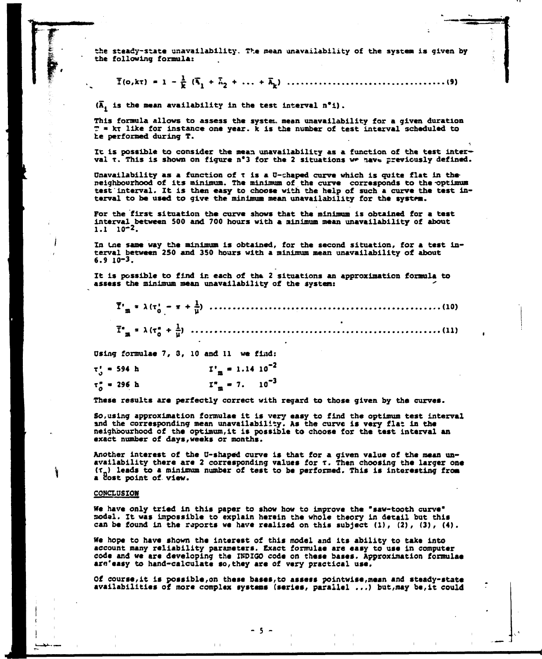**the steady-state unavailability. The mean unavailability of the system is given by the following formula:** 

**T(O,JCT) - 1 - £ (\x + 7»2 + ...** *\* \ )* **(9)** 

**(A. is the mean availability in the test interval n\*i).** 

**This formula allows to assess the system mean unavailability for a given duration T » kx like for instance one year, k is the number of test interval scheduled to be performed during T.** 

**It is possible to consider the mean unavailability as a function of the test inter**val  $\tau$ . This is shown on figure n°3 for the 2 situations we have previously defined.

Unavailability as a function of t is a U-shaped curve which is quite flat in the**neighbourhood of its minimum. The minimum of the curve corresponds to the -optimum test interval. It is then easy to choose with the help of such a curve the test interval to be used to give the minimum mean unavailability for the system.** 

**For the first situation the curve shows that the minimum is obtained for a test interval between 500 and 700 hours with a minimum mean unavailability of about 1.1 10-2.** 

**In tne same way the minimum is obtained, for the second situation, for a test interval between 250 and 350 hours with a minimum mean unavailability of about 6.9 10-3.** 

**It is possible to find in each of the 2 situations an approximation formula to assess the minimum mean unavailability of the system:** *"* 

**\*'»» \*<T;\_- \* +J) (10)**  *\*"\* '* **X(t <sup>s</sup> + è> (11 )** 

**Using formulae 7, 3, 10 and 11 we find:** 

|  | $\tau_0'$ = 594 h  |  |  | $I'_m = 1.14 10^{-2}$   |
|--|--------------------|--|--|-------------------------|
|  | $\tau_0^* = 296$ h |  |  | $I_{m}^{*} = 7.10^{-3}$ |

These results are perfectly correct with regard to those given by the curves.

So, using approximation formulae it is very easy to find the optimum test interval and the corresponding mean unavailability. As the curve is very flat in the and the corresponding mean unavailable corresponding to the the the internal neighbourhood of the optimum, it is possible to choose for the test interval an<br>Avact number of the veeks or months. **exact number of days,weeks or months.** 

**Another interest of the U-shaped curve is that for a given value of the mean unavailability there arc 2 corresponding values for t. Then choosing the larger one (T ) leads to a minimum number of test to be performed. This is interesting from a cost point of view.** 

## **CONCLUSION**

**We have only tried in this paper to show how to improve the "saw-tooth curve" nodal. It was impossible to explain herein the whole theory in detail but this can be found in the reports we have realized on this subject (1), (2), (3), (4).** 

**We hope to have shown the interest of this model and its ability to take into account many reliability parameters. Exact formulae are easy to use in computer code and we are developing the INDIGO code on these bases. Approximation formulae ara'easy to hand-calculate so,they are of very practical use.** 

**Of course,it is possible,on these bases,to assets pointwise,mean and sttady-state availabilities of more complex systems (series, parallel ...) but,may be,it could**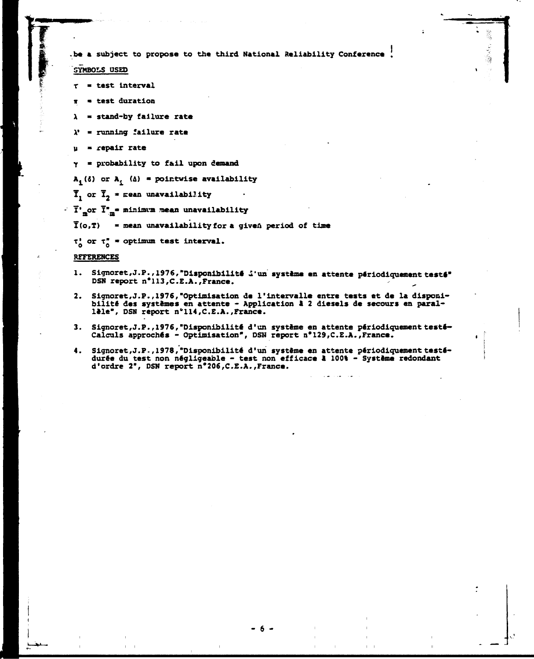**be a subject to propose to the third National Reliability Conference .** 

**SYMBOLS USED** 

- **r test Interval**
- **ir \* test duration**
- **X stand-by failure rate**
- **X' « running failure rate**
- **u repair rate**
- **Y \* probability to fail upon demand**

 $A_i$  ( $\delta$ ) or  $A_i$  ( $\Delta$ ) = pointwise availability

 $\overline{I}_1$  or  $\overline{I}_2$  = mean unavailability

**1\* or Ï" • minimum mean unavailability** 

**T(o,T) - mean unavailability for a given period of time** 

 $\tau_0'$  or  $\tau_0''$  \* optimum test interval.

**REFERENCES** 

- 1. Signoret, J.P., 1976, "Disponibilité *i'un* système en attente périodiquement testé" **DSN report n\*113,C.E.A.,France.**
- **2. Signoret,J.P., 1976,"Optimisation de l'intervalle entre tests et de la disponibilité des systèmes en attente - Application a 2 diesels de secours en parallèle", DSN report n'114,C.E.A.,France.**
- **3. Signoret,J.P., 1976,"Disponibilité d'un système en attente périodiquement testé» Calculs approchés - Optimisation", DSN report n\*129,C.E.A.,France.**
- **4. Signoret,J. P., 1978, "Disponibilité d'un système en attente périodiquement testédurée du test non négligeable - test non efficace 1 100% - Système redondant d'ordre 2", DSN report n\*206,C.E.A.,France.**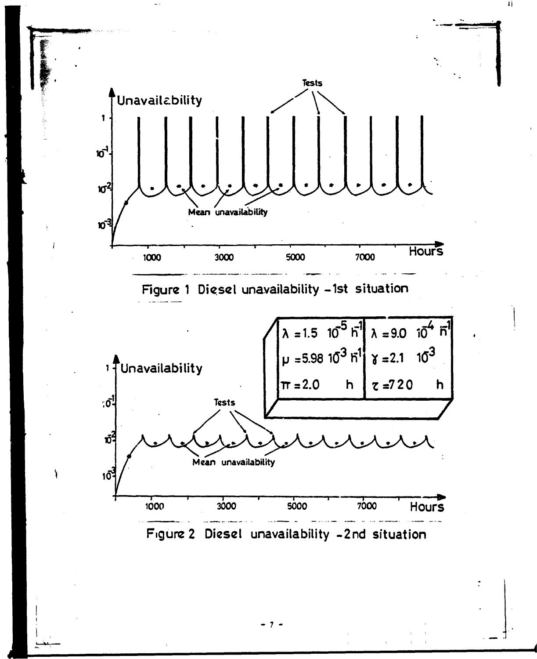

**- 7**